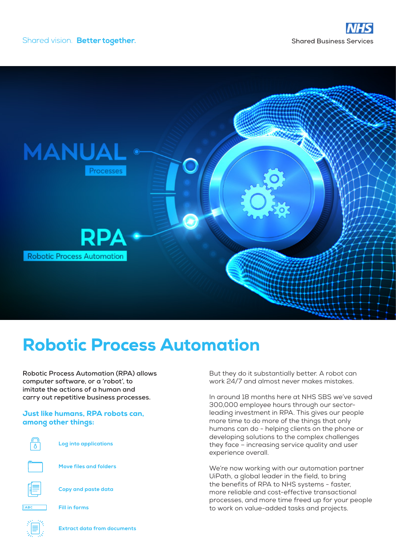Shared vision. Better together.





# Robotic Process Automation

**Robotic Process Automation (RPA) allows computer software, or a 'robot', to imitate the actions of a human and carry out repetitive business processes.**

# Just like humans, RPA robots can, among other things:

**Log into applications**

**Move files and folders**

**Copy and paste data**

**Fill in forms**

**Extract data from documents**

But they do it substantially better. A robot can work 24/7 and almost never makes mistakes.

In around 18 months here at NHS SBS we've saved 300,000 employee hours through our sectorleading investment in RPA. This gives our people more time to do more of the things that only humans can do - helping clients on the phone or developing solutions to the complex challenges they face – increasing service quality and user experience overall.

We're now working with our automation partner UiPath, a global leader in the field, to bring the benefits of RPA to NHS systems - faster, more reliable and cost-effective transactional processes, and more time freed up for your people to work on value-added tasks and projects.